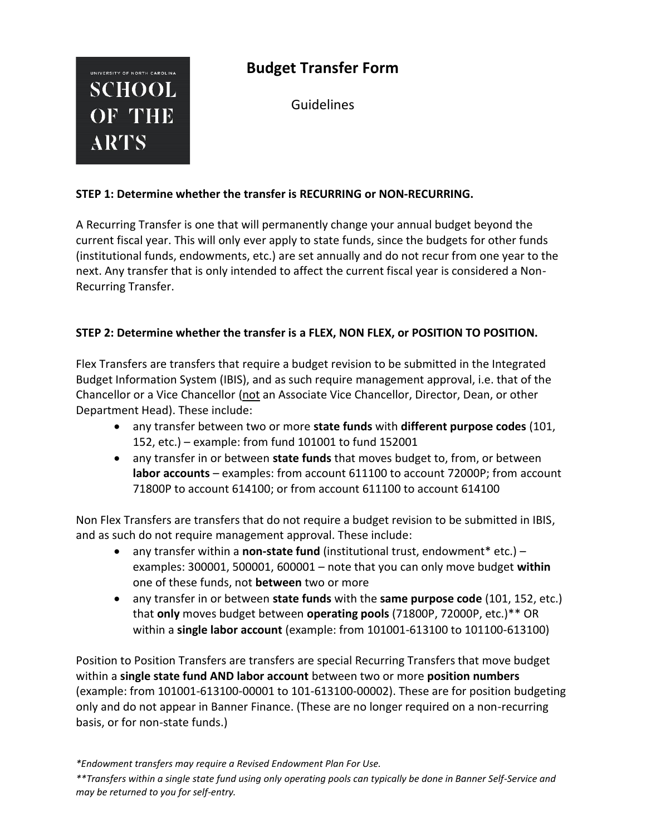# **Budget Transfer Form**

UNIVERSITY OF NORTH CAROLINA **SCHOOL** OF THE **ARTS** 

Guidelines

## **STEP 1: Determine whether the transfer is RECURRING or NON‐RECURRING.**

A Recurring Transfer is one that will permanently change your annual budget beyond the current fiscal year. This will only ever apply to state funds, since the budgets for other funds (institutional funds, endowments, etc.) are set annually and do not recur from one year to the next. Any transfer that is only intended to affect the current fiscal year is considered a Non-Recurring Transfer.

## **STEP 2: Determine whether the transfer is a FLEX, NON FLEX, or POSITION TO POSITION.**

Flex Transfers are transfers that require a budget revision to be submitted in the Integrated Budget Information System (IBIS), and as such require management approval, i.e. that of the Chancellor or a Vice Chancellor (not an Associate Vice Chancellor, Director, Dean, or other Department Head). These include:

- any transfer between two or more **state funds** with **different purpose codes** (101, 152, etc.) – example: from fund 101001 to fund 152001
- any transfer in or between **state funds** that moves budget to, from, or between **labor accounts** – examples: from account 611100 to account 72000P; from account 71800P to account 614100; or from account 611100 to account 614100

Non Flex Transfers are transfers that do not require a budget revision to be submitted in IBIS, and as such do not require management approval. These include:

- any transfer within a **non-state fund** (institutional trust, endowment\* etc.) examples: 300001, 500001, 600001 – note that you can only move budget **within** one of these funds, not **between** two or more
- any transfer in or between **state funds** with the **same purpose code** (101, 152, etc.) that **only** moves budget between **operating pools** (71800P, 72000P, etc.)\*\* OR within a **single labor account** (example: from 101001-613100 to 101100-613100)

Position to Position Transfers are transfers are special Recurring Transfers that move budget within a **single state fund AND labor account** between two or more **position numbers** (example: from 101001-613100-00001 to 101-613100-00002). These are for position budgeting only and do not appear in Banner Finance. (These are no longer required on a non-recurring basis, or for non-state funds.)

*\*Endowment transfers may require a Revised Endowment Plan For Use.*

*\*\*Transfers within a single state fund using only operating pools can typically be done in Banner Self-Service and may be returned to you for self-entry.*